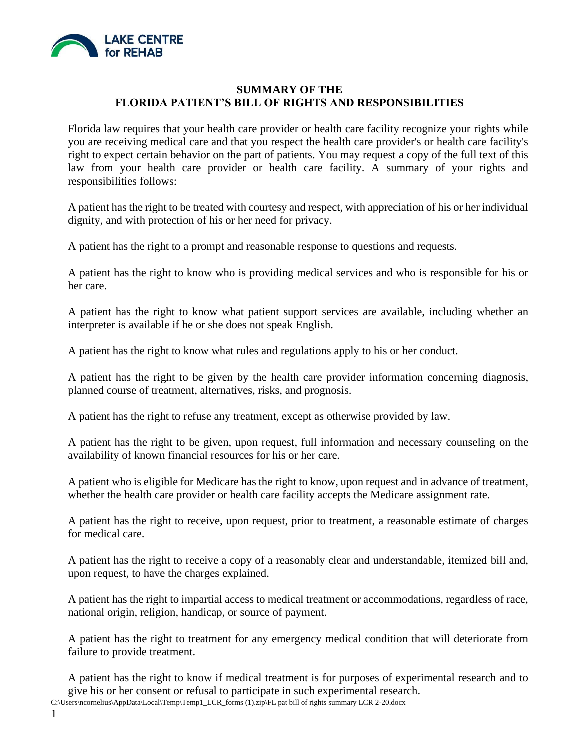

## **SUMMARY OF THE FLORIDA PATIENT'S BILL OF RIGHTS AND RESPONSIBILITIES**

Florida law requires that your health care provider or health care facility recognize your rights while you are receiving medical care and that you respect the health care provider's or health care facility's right to expect certain behavior on the part of patients. You may request a copy of the full text of this law from your health care provider or health care facility. A summary of your rights and responsibilities follows:

A patient has the right to be treated with courtesy and respect, with appreciation of his or her individual dignity, and with protection of his or her need for privacy.

A patient has the right to a prompt and reasonable response to questions and requests.

A patient has the right to know who is providing medical services and who is responsible for his or her care.

A patient has the right to know what patient support services are available, including whether an interpreter is available if he or she does not speak English.

A patient has the right to know what rules and regulations apply to his or her conduct.

A patient has the right to be given by the health care provider information concerning diagnosis, planned course of treatment, alternatives, risks, and prognosis.

A patient has the right to refuse any treatment, except as otherwise provided by law.

A patient has the right to be given, upon request, full information and necessary counseling on the availability of known financial resources for his or her care.

A patient who is eligible for Medicare has the right to know, upon request and in advance of treatment, whether the health care provider or health care facility accepts the Medicare assignment rate.

A patient has the right to receive, upon request, prior to treatment, a reasonable estimate of charges for medical care.

A patient has the right to receive a copy of a reasonably clear and understandable, itemized bill and, upon request, to have the charges explained.

A patient has the right to impartial access to medical treatment or accommodations, regardless of race, national origin, religion, handicap, or source of payment.

A patient has the right to treatment for any emergency medical condition that will deteriorate from failure to provide treatment.

A patient has the right to know if medical treatment is for purposes of experimental research and to give his or her consent or refusal to participate in such experimental research.

C:\Users\ncornelius\AppData\Local\Temp\Temp1\_LCR\_forms (1).zip\FL pat bill of rights summary LCR 2-20.docx